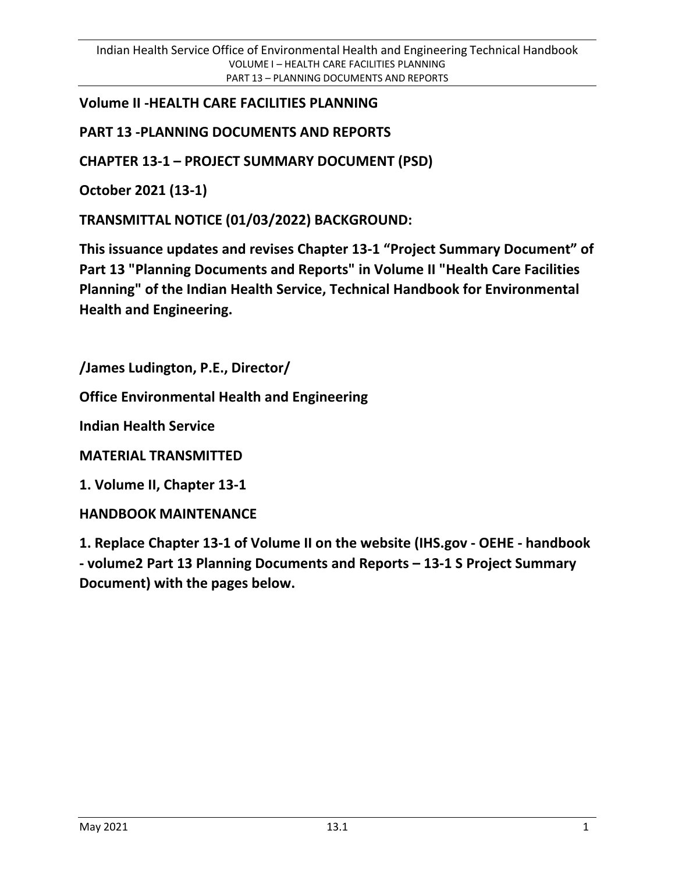## **Volume II -HEALTH CARE FACILITIES PLANNING**

## **PART 13 -PLANNING DOCUMENTS AND REPORTS**

**CHAPTER 13-1 – PROJECT SUMMARY DOCUMENT (PSD)**

**October 2021 (13-1)**

**TRANSMITTAL NOTICE (01/03/2022) BACKGROUND:**

**This issuance updates and revises Chapter 13-1 "Project Summary Document" of Part 13 "Planning Documents and Reports" in Volume II "Health Care Facilities Planning" of the Indian Health Service, Technical Handbook for Environmental Health and Engineering.**

**/James Ludington, P.E., Director/**

**Office Environmental Health and Engineering**

**Indian Health Service**

**MATERIAL TRANSMITTED**

**1. Volume II, Chapter 13-1**

**HANDBOOK MAINTENANCE**

**1. Replace Chapter 13-1 of Volume II on the website (IHS.gov - OEHE - handbook - volume2 Part 13 Planning Documents and Reports – 13-1 S Project Summary Document) with the pages below.**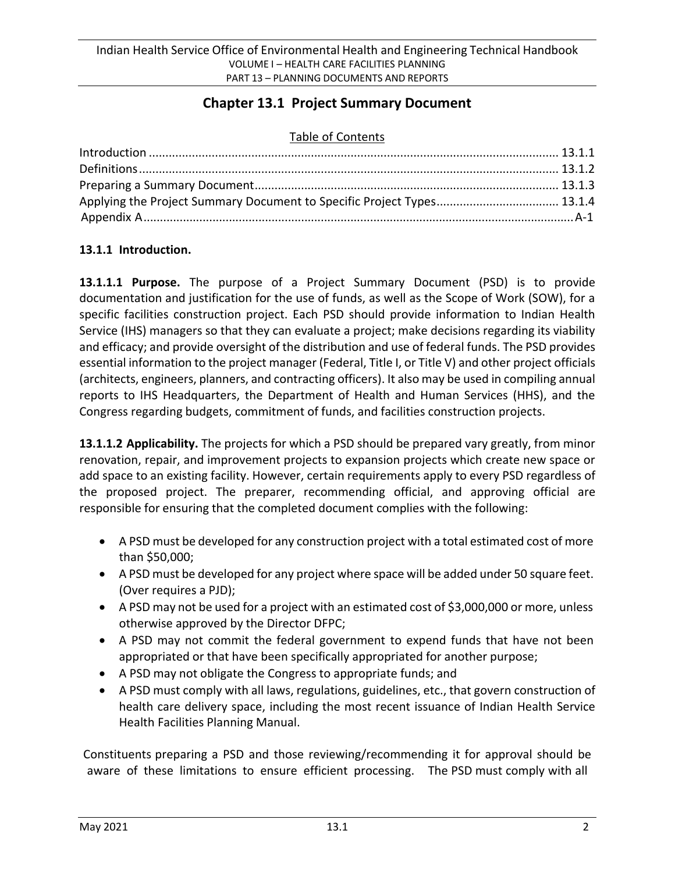# **Chapter 13.1 Project Summary Document**

#### Table of Contents

| Applying the Project Summary Document to Specific Project Types 13.1.4 |  |
|------------------------------------------------------------------------|--|
|                                                                        |  |

### **13.1.1 Introduction.**

**13.1.1.1 Purpose.** The purpose of a Project Summary Document (PSD) is to provide documentation and justification for the use of funds, as well as the Scope of Work (SOW), for a specific facilities construction project. Each PSD should provide information to Indian Health Service (IHS) managers so that they can evaluate a project; make decisions regarding its viability and efficacy; and provide oversight of the distribution and use of federal funds. The PSD provides essential information to the project manager (Federal, Title I, or Title V) and other project officials (architects, engineers, planners, and contracting officers). It also may be used in compiling annual reports to IHS Headquarters, the Department of Health and Human Services (HHS), and the Congress regarding budgets, commitment of funds, and facilities construction projects.

**13.1.1.2 Applicability.** The projects for which a PSD should be prepared vary greatly, from minor renovation, repair, and improvement projects to expansion projects which create new space or add space to an existing facility. However, certain requirements apply to every PSD regardless of the proposed project. The preparer, recommending official, and approving official are responsible for ensuring that the completed document complies with the following:

- A PSD must be developed for any construction project with a total estimated cost of more than \$50,000;
- A PSD must be developed for any project where space will be added under 50 square feet. (Over requires a PJD);
- A PSD may not be used for a project with an estimated cost of \$3,000,000 or more, unless otherwise approved by the Director DFPC;
- A PSD may not commit the federal government to expend funds that have not been appropriated or that have been specifically appropriated for another purpose;
- A PSD may not obligate the Congress to appropriate funds; and
- A PSD must comply with all laws, regulations, guidelines, etc., that govern construction of health care delivery space, including the most recent issuance of Indian Health Service Health Facilities Planning Manual.

Constituents preparing a PSD and those reviewing/recommending it for approval should be aware of these limitations to ensure efficient processing. The PSD must comply with all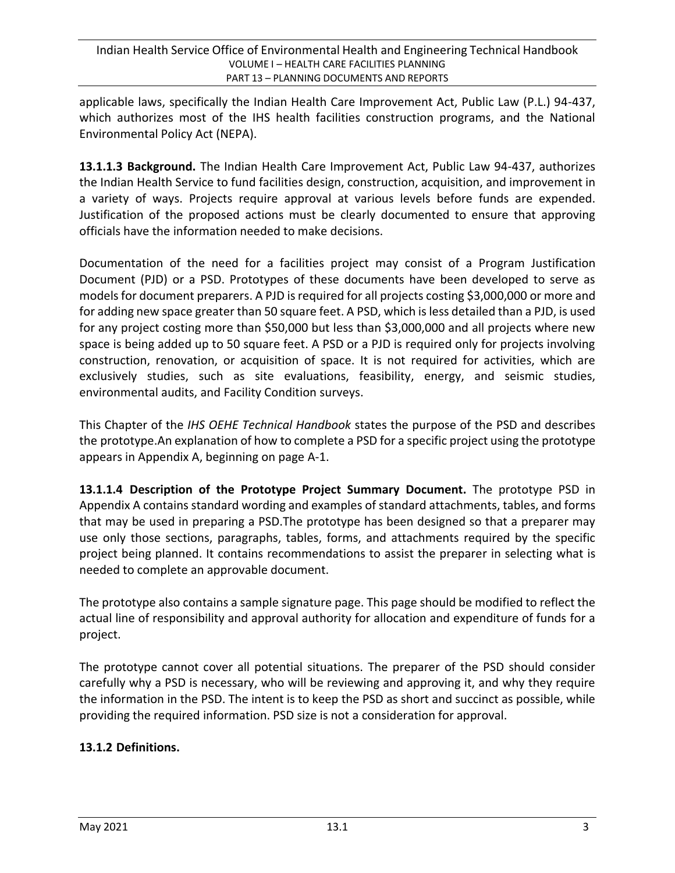applicable laws, specifically the Indian Health Care Improvement Act, Public Law (P.L.) 94-437, which authorizes most of the IHS health facilities construction programs, and the National Environmental Policy Act (NEPA).

**13.1.1.3 Background.** The Indian Health Care Improvement Act, Public Law 94-437, authorizes the Indian Health Service to fund facilities design, construction, acquisition, and improvement in a variety of ways. Projects require approval at various levels before funds are expended. Justification of the proposed actions must be clearly documented to ensure that approving officials have the information needed to make decisions.

Documentation of the need for a facilities project may consist of a Program Justification Document (PJD) or a PSD. Prototypes of these documents have been developed to serve as models for document preparers. A PJD is required for all projects costing \$3,000,000 or more and for adding new space greater than 50 square feet. A PSD, which is less detailed than a PJD, is used for any project costing more than \$50,000 but less than \$3,000,000 and all projects where new space is being added up to 50 square feet. A PSD or a PJD is required only for projects involving construction, renovation, or acquisition of space. It is not required for activities, which are exclusively studies, such as site evaluations, feasibility, energy, and seismic studies, environmental audits, and Facility Condition surveys.

This Chapter of the *IHS OEHE Technical Handbook* states the purpose of the PSD and describes the prototype.An explanation of how to complete a PSD for a specific project using the prototype appears in Appendix A, beginning on page A-1.

**13.1.1.4 Description of the Prototype Project Summary Document.** The prototype PSD in Appendix A contains standard wording and examples of standard attachments, tables, and forms that may be used in preparing a PSD.The prototype has been designed so that a preparer may use only those sections, paragraphs, tables, forms, and attachments required by the specific project being planned. It contains recommendations to assist the preparer in selecting what is needed to complete an approvable document.

The prototype also contains a sample signature page. This page should be modified to reflect the actual line of responsibility and approval authority for allocation and expenditure of funds for a project.

The prototype cannot cover all potential situations. The preparer of the PSD should consider carefully why a PSD is necessary, who will be reviewing and approving it, and why they require the information in the PSD. The intent is to keep the PSD as short and succinct as possible, while providing the required information. PSD size is not a consideration for approval.

### **13.1.2 Definitions.**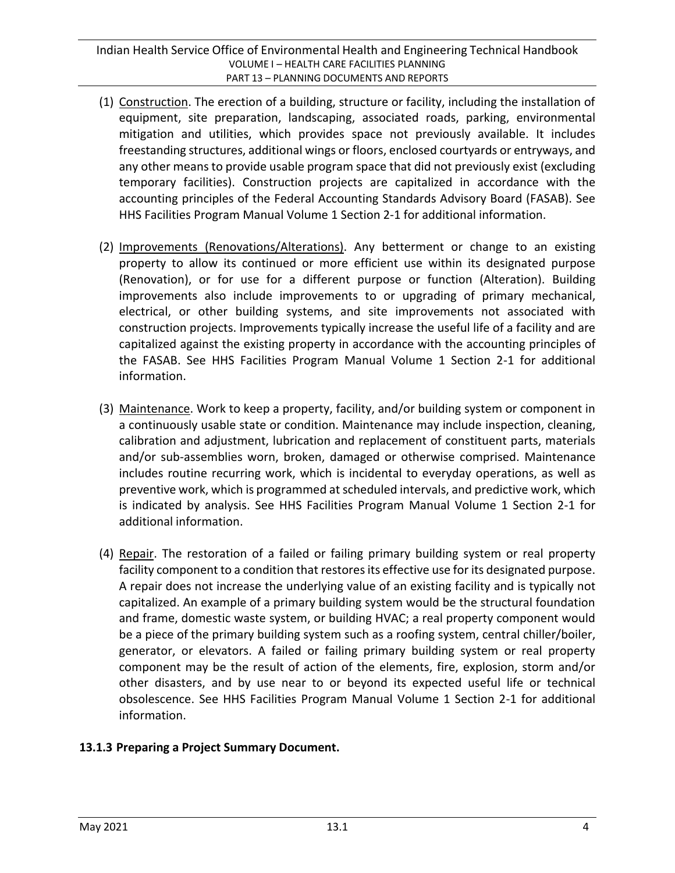- (1) Construction. The erection of a building, structure or facility, including the installation of equipment, site preparation, landscaping, associated roads, parking, environmental mitigation and utilities, which provides space not previously available. It includes freestanding structures, additional wings or floors, enclosed courtyards or entryways, and any other means to provide usable program space that did not previously exist (excluding temporary facilities). Construction projects are capitalized in accordance with the accounting principles of the Federal Accounting Standards Advisory Board (FASAB). See HHS Facilities Program Manual Volume 1 Section 2-1 for additional information.
- (2) Improvements (Renovations/Alterations). Any betterment or change to an existing property to allow its continued or more efficient use within its designated purpose (Renovation), or for use for a different purpose or function (Alteration). Building improvements also include improvements to or upgrading of primary mechanical, electrical, or other building systems, and site improvements not associated with construction projects. Improvements typically increase the useful life of a facility and are capitalized against the existing property in accordance with the accounting principles of the FASAB. See HHS Facilities Program Manual Volume 1 Section 2-1 for additional information.
- (3) Maintenance. Work to keep a property, facility, and/or building system or component in a continuously usable state or condition. Maintenance may include inspection, cleaning, calibration and adjustment, lubrication and replacement of constituent parts, materials and/or sub-assemblies worn, broken, damaged or otherwise comprised. Maintenance includes routine recurring work, which is incidental to everyday operations, as well as preventive work, which is programmed atscheduled intervals, and predictive work, which is indicated by analysis. See HHS Facilities Program Manual Volume 1 Section 2-1 for additional information.
- (4) Repair. The restoration of a failed or failing primary building system or real property facility component to a condition that restores its effective use for its designated purpose. A repair does not increase the underlying value of an existing facility and is typically not capitalized. An example of a primary building system would be the structural foundation and frame, domestic waste system, or building HVAC; a real property component would be a piece of the primary building system such as a roofing system, central chiller/boiler, generator, or elevators. A failed or failing primary building system or real property component may be the result of action of the elements, fire, explosion, storm and/or other disasters, and by use near to or beyond its expected useful life or technical obsolescence. See HHS Facilities Program Manual Volume 1 Section 2-1 for additional information.

#### **13.1.3 Preparing a Project Summary Document.**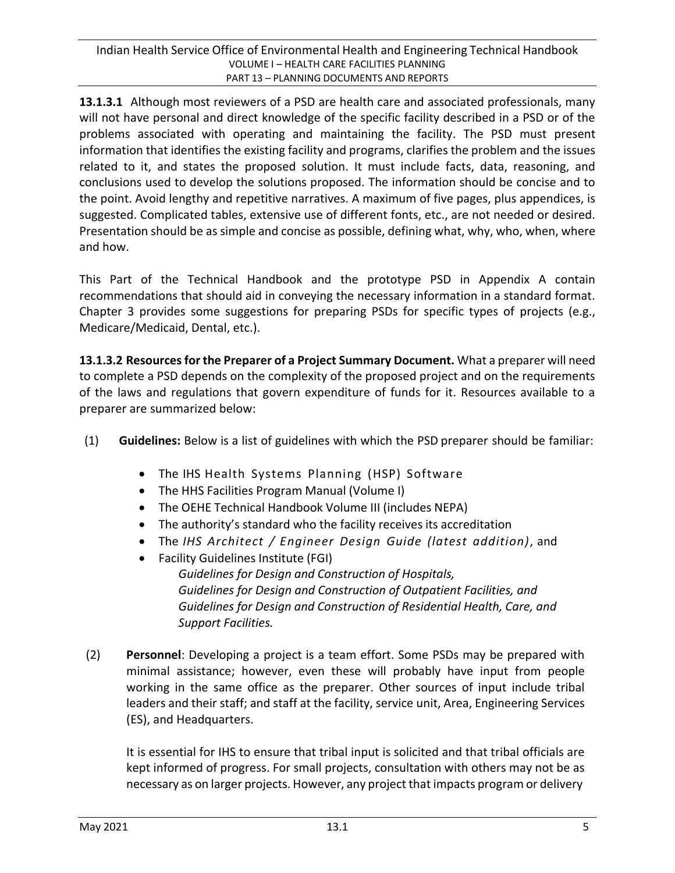**13.1.3.1** Although most reviewers of a PSD are health care and associated professionals, many will not have personal and direct knowledge of the specific facility described in a PSD or of the problems associated with operating and maintaining the facility. The PSD must present information that identifies the existing facility and programs, clarifies the problem and the issues related to it, and states the proposed solution. It must include facts, data, reasoning, and conclusions used to develop the solutions proposed. The information should be concise and to the point. Avoid lengthy and repetitive narratives. A maximum of five pages, plus appendices, is suggested. Complicated tables, extensive use of different fonts, etc., are not needed or desired. Presentation should be as simple and concise as possible, defining what, why, who, when, where and how.

This Part of the Technical Handbook and the prototype PSD in Appendix A contain recommendations that should aid in conveying the necessary information in a standard format. Chapter 3 provides some suggestions for preparing PSDs for specific types of projects (e.g., Medicare/Medicaid, Dental, etc.).

**13.1.3.2 Resourcesfor the Preparer of a Project Summary Document.** What a preparer will need to complete a PSD depends on the complexity of the proposed project and on the requirements of the laws and regulations that govern expenditure of funds for it. Resources available to a preparer are summarized below:

- (1) **Guidelines:** Below is a list of guidelines with which the PSD preparer should be familiar:
	- The IHS Health Systems Planning (HSP) Software
	- The HHS Facilities Program Manual (Volume I)
	- The OEHE Technical Handbook Volume III (includes NEPA)
	- The authority's standard who the facility receives its accreditation
	- The *IHS Architect / Engineer Design Guide (latest addition)*, and
	- Facility Guidelines Institute (FGI) *Guidelines for Design and Construction of Hospitals, Guidelines for Design and Construction of Outpatient Facilities, and Guidelines for Design and Construction of Residential Health, Care, and Support Facilities.*
- (2) **Personnel**: Developing a project is a team effort. Some PSDs may be prepared with minimal assistance; however, even these will probably have input from people working in the same office as the preparer. Other sources of input include tribal leaders and their staff; and staff at the facility, service unit, Area, Engineering Services (ES), and Headquarters.

It is essential for IHS to ensure that tribal input is solicited and that tribal officials are kept informed of progress. For small projects, consultation with others may not be as necessary as on larger projects. However, any project that impacts program or delivery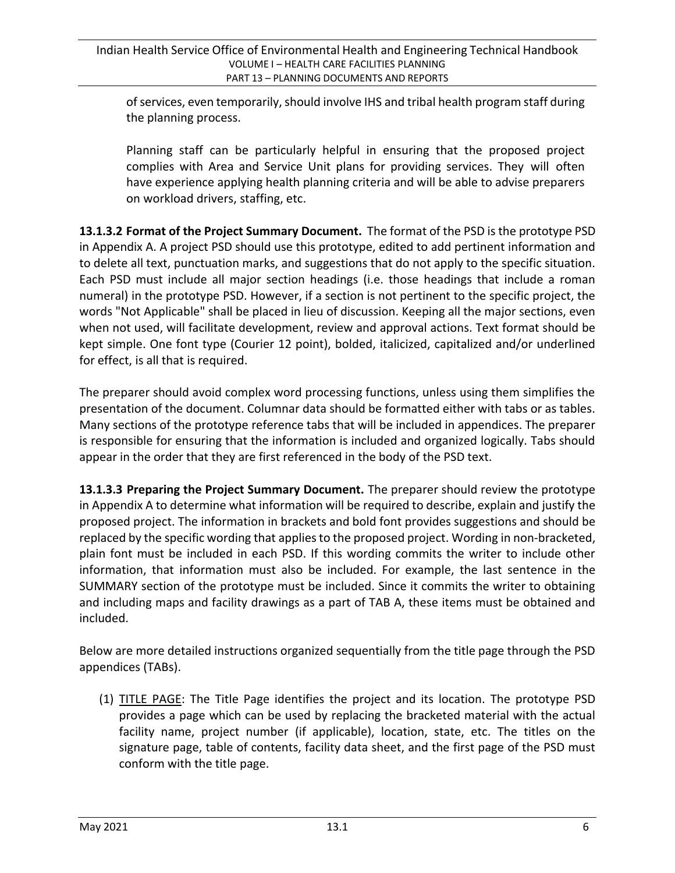ofservices, even temporarily,should involve IHS and tribal health program staff during the planning process.

Planning staff can be particularly helpful in ensuring that the proposed project complies with Area and Service Unit plans for providing services. They will often have experience applying health planning criteria and will be able to advise preparers on workload drivers, staffing, etc.

**13.1.3.2 Format of the Project Summary Document.** The format of the PSD is the prototype PSD in Appendix A. A project PSD should use this prototype, edited to add pertinent information and to delete all text, punctuation marks, and suggestions that do not apply to the specific situation. Each PSD must include all major section headings (i.e. those headings that include a roman numeral) in the prototype PSD. However, if a section is not pertinent to the specific project, the words "Not Applicable" shall be placed in lieu of discussion. Keeping all the major sections, even when not used, will facilitate development, review and approval actions. Text format should be kept simple. One font type (Courier 12 point), bolded, italicized, capitalized and/or underlined for effect, is all that is required.

The preparer should avoid complex word processing functions, unless using them simplifies the presentation of the document. Columnar data should be formatted either with tabs or as tables. Many sections of the prototype reference tabs that will be included in appendices. The preparer is responsible for ensuring that the information is included and organized logically. Tabs should appear in the order that they are first referenced in the body of the PSD text.

**13.1.3.3 Preparing the Project Summary Document.** The preparer should review the prototype in Appendix A to determine what information will be required to describe, explain and justify the proposed project. The information in brackets and bold font provides suggestions and should be replaced by the specific wording that applies to the proposed project. Wording in non-bracketed, plain font must be included in each PSD. If this wording commits the writer to include other information, that information must also be included. For example, the last sentence in the SUMMARY section of the prototype must be included. Since it commits the writer to obtaining and including maps and facility drawings as a part of TAB A, these items must be obtained and included.

Below are more detailed instructions organized sequentially from the title page through the PSD appendices (TABs).

(1) TITLE PAGE: The Title Page identifies the project and its location. The prototype PSD provides a page which can be used by replacing the bracketed material with the actual facility name, project number (if applicable), location, state, etc. The titles on the signature page, table of contents, facility data sheet, and the first page of the PSD must conform with the title page.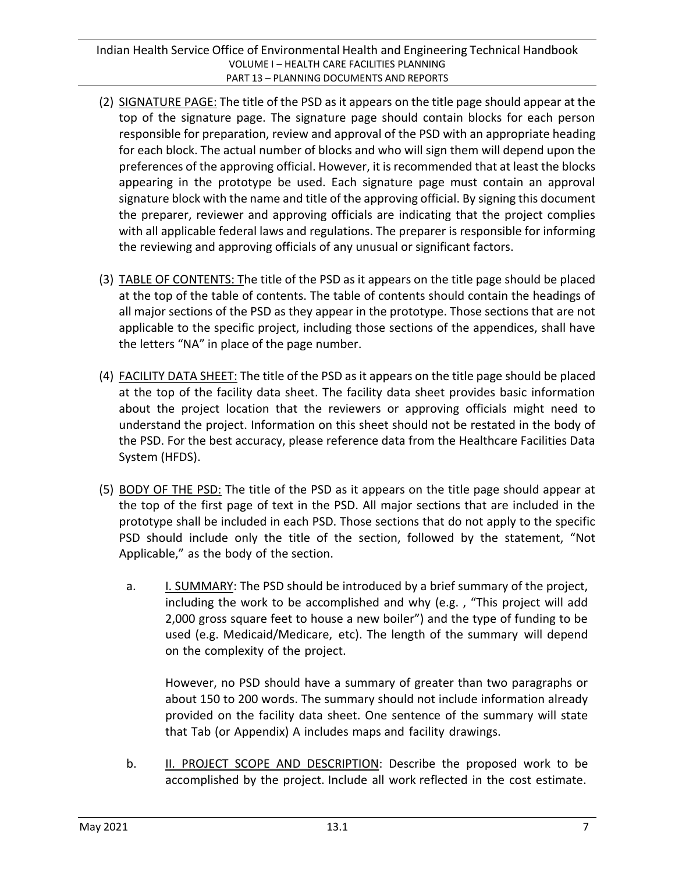- (2) SIGNATURE PAGE: The title of the PSD asit appears on the title page should appear at the top of the signature page. The signature page should contain blocks for each person responsible for preparation, review and approval of the PSD with an appropriate heading for each block. The actual number of blocks and who will sign them will depend upon the preferences of the approving official. However, it isrecommended that at least the blocks appearing in the prototype be used. Each signature page must contain an approval signature block with the name and title of the approving official. By signing this document the preparer, reviewer and approving officials are indicating that the project complies with all applicable federal laws and regulations. The preparer is responsible for informing the reviewing and approving officials of any unusual or significant factors.
- (3) TABLE OF CONTENTS: The title of the PSD as it appears on the title page should be placed at the top of the table of contents. The table of contents should contain the headings of all major sections of the PSD as they appear in the prototype. Those sections that are not applicable to the specific project, including those sections of the appendices, shall have the letters "NA" in place of the page number.
- (4) FACILITY DATA SHEET: The title of the PSD as it appears on the title page should be placed at the top of the facility data sheet. The facility data sheet provides basic information about the project location that the reviewers or approving officials might need to understand the project. Information on this sheet should not be restated in the body of the PSD. For the best accuracy, please reference data from the Healthcare Facilities Data System (HFDS).
- (5) BODY OF THE PSD: The title of the PSD as it appears on the title page should appear at the top of the first page of text in the PSD. All major sections that are included in the prototype shall be included in each PSD. Those sections that do not apply to the specific PSD should include only the title of the section, followed by the statement, "Not Applicable," as the body of the section.
	- a. I. SUMMARY: The PSD should be introduced by a brief summary of the project, including the work to be accomplished and why (e.g. , "This project will add 2,000 gross square feet to house a new boiler") and the type of funding to be used (e.g. Medicaid/Medicare, etc). The length of the summary will depend on the complexity of the project.

However, no PSD should have a summary of greater than two paragraphs or about 150 to 200 words. The summary should not include information already provided on the facility data sheet. One sentence of the summary will state that Tab (or Appendix) A includes maps and facility drawings.

b. II. PROJECT SCOPE AND DESCRIPTION: Describe the proposed work to be accomplished by the project. Include all work reflected in the cost estimate.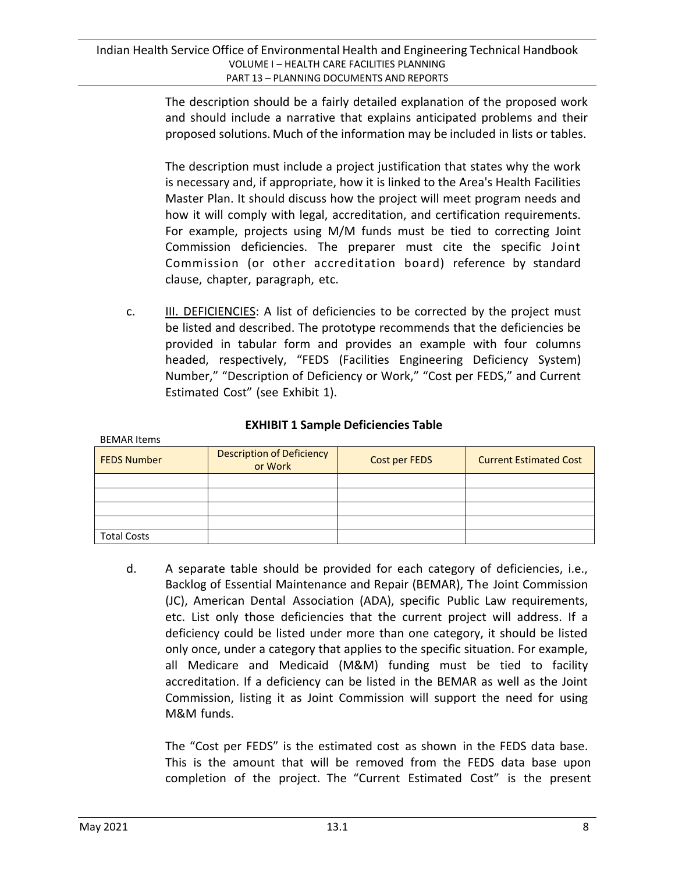The description should be a fairly detailed explanation of the proposed work and should include a narrative that explains anticipated problems and their proposed solutions. Much of the information may be included in lists or tables.

The description must include a project justification that states why the work is necessary and, if appropriate, how it is linked to the Area's Health Facilities Master Plan. It should discuss how the project will meet program needs and how it will comply with legal, accreditation, and certification requirements. For example, projects using M/M funds must be tied to correcting Joint Commission deficiencies. The preparer must cite the specific Joint Commission (or other accreditation board) reference by standard clause, chapter, paragraph, etc.

c. **III. DEFICIENCIES:** A list of deficiencies to be corrected by the project must be listed and described. The prototype recommends that the deficiencies be provided in tabular form and provides an example with four columns headed, respectively, "FEDS (Facilities Engineering Deficiency System) Number," "Description of Deficiency or Work," "Cost per FEDS," and Current Estimated Cost" (see Exhibit 1).

#### **EXHIBIT 1 Sample Deficiencies Table**

| <b>FEDS Number</b> | <b>Description of Deficiency</b><br>or Work | Cost per FEDS | <b>Current Estimated Cost</b> |
|--------------------|---------------------------------------------|---------------|-------------------------------|
|                    |                                             |               |                               |
|                    |                                             |               |                               |
|                    |                                             |               |                               |
|                    |                                             |               |                               |
| <b>Total Costs</b> |                                             |               |                               |

d. A separate table should be provided for each category of deficiencies, i.e., Backlog of Essential Maintenance and Repair (BEMAR), The Joint Commission (JC), American Dental Association (ADA), specific Public Law requirements, etc. List only those deficiencies that the current project will address. If a deficiency could be listed under more than one category, it should be listed only once, under a category that applies to the specific situation. For example, all Medicare and Medicaid (M&M) funding must be tied to facility accreditation. If a deficiency can be listed in the BEMAR as well as the Joint Commission, listing it as Joint Commission will support the need for using M&M funds.

The "Cost per FEDS" is the estimated cost as shown in the FEDS data base. This is the amount that will be removed from the FEDS data base upon completion of the project. The "Current Estimated Cost" is the present

BEMAR Items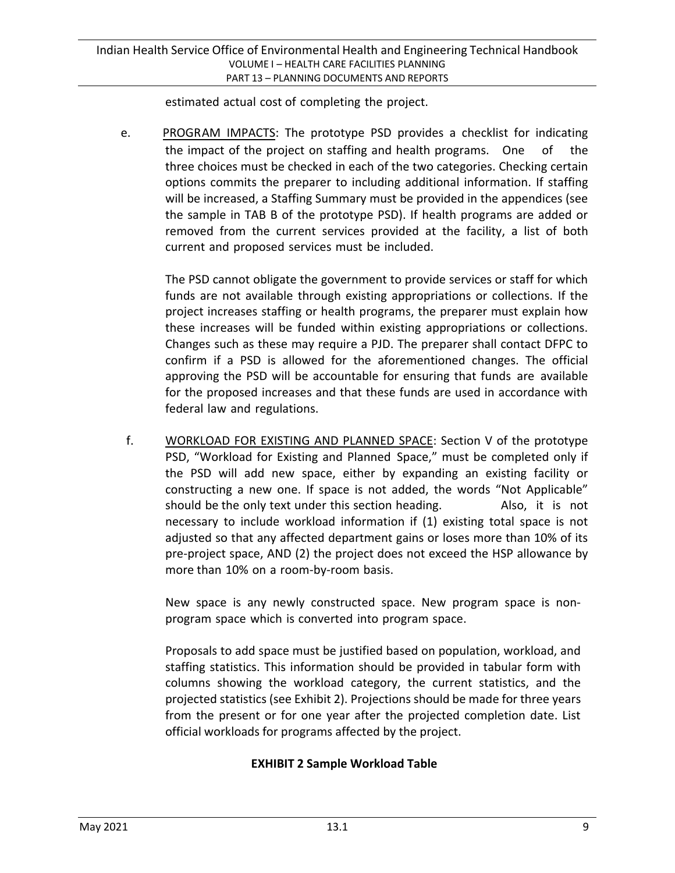estimated actual cost of completing the project.

e. PROGRAM IMPACTS: The prototype PSD provides a checklist for indicating the impact of the project on staffing and health programs. One of the three choices must be checked in each of the two categories. Checking certain options commits the preparer to including additional information. If staffing will be increased, a Staffing Summary must be provided in the appendices (see the sample in TAB B of the prototype PSD). If health programs are added or removed from the current services provided at the facility, a list of both current and proposed services must be included.

The PSD cannot obligate the government to provide services or staff for which funds are not available through existing appropriations or collections. If the project increases staffing or health programs, the preparer must explain how these increases will be funded within existing appropriations or collections. Changes such as these may require a PJD. The preparer shall contact DFPC to confirm if a PSD is allowed for the aforementioned changes. The official approving the PSD will be accountable for ensuring that funds are available for the proposed increases and that these funds are used in accordance with federal law and regulations.

f. WORKLOAD FOR EXISTING AND PLANNED SPACE: Section V of the prototype PSD, "Workload for Existing and Planned Space," must be completed only if the PSD will add new space, either by expanding an existing facility or constructing a new one. If space is not added, the words "Not Applicable" should be the only text under this section heading. Also, it is not necessary to include workload information if (1) existing total space is not adjusted so that any affected department gains or loses more than 10% of its pre-project space, AND (2) the project does not exceed the HSP allowance by more than 10% on a room-by-room basis.

New space is any newly constructed space. New program space is nonprogram space which is converted into program space.

Proposals to add space must be justified based on population, workload, and staffing statistics. This information should be provided in tabular form with columns showing the workload category, the current statistics, and the projected statistics (see Exhibit 2). Projections should be made for three years from the present or for one year after the projected completion date. List official workloads for programs affected by the project.

### **EXHIBIT 2 Sample Workload Table**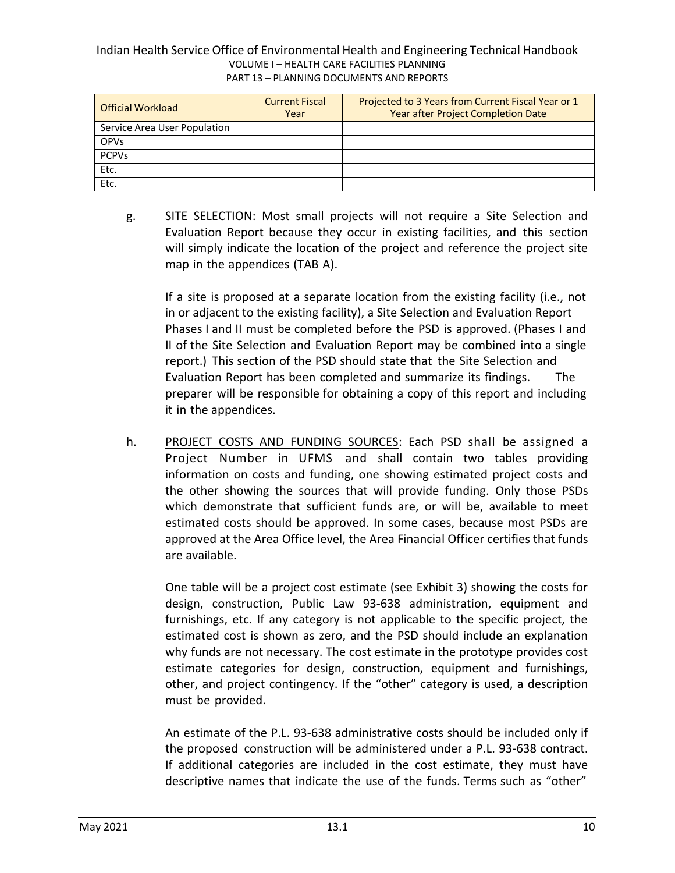Indian Health Service Office of Environmental Health and Engineering Technical Handbook VOLUME I – HEALTH CARE FACILITIES PLANNING PART 13 – PLANNING DOCUMENTS AND REPORTS

| <b>Official Workload</b>     | <b>Current Fiscal</b><br>Year | Projected to 3 Years from Current Fiscal Year or 1<br>Year after Project Completion Date |
|------------------------------|-------------------------------|------------------------------------------------------------------------------------------|
| Service Area User Population |                               |                                                                                          |
| <b>OPVs</b>                  |                               |                                                                                          |
| <b>PCPVs</b>                 |                               |                                                                                          |
| Etc.                         |                               |                                                                                          |
| Etc.                         |                               |                                                                                          |

g. SITE SELECTION: Most small projects will not require a Site Selection and Evaluation Report because they occur in existing facilities, and this section will simply indicate the location of the project and reference the project site map in the appendices (TAB A).

If a site is proposed at a separate location from the existing facility (i.e., not in or adjacent to the existing facility), a Site Selection and Evaluation Report Phases I and II must be completed before the PSD is approved. (Phases I and II of the Site Selection and Evaluation Report may be combined into a single report.) This section of the PSD should state that the Site Selection and Evaluation Report has been completed and summarize its findings. The preparer will be responsible for obtaining a copy of this report and including it in the appendices.

h. PROJECT COSTS AND FUNDING SOURCES: Each PSD shall be assigned a Project Number in UFMS and shall contain two tables providing information on costs and funding, one showing estimated project costs and the other showing the sources that will provide funding. Only those PSDs which demonstrate that sufficient funds are, or will be, available to meet estimated costs should be approved. In some cases, because most PSDs are approved at the Area Office level, the Area Financial Officer certifies that funds are available.

One table will be a project cost estimate (see Exhibit 3) showing the costs for design, construction, Public Law 93-638 administration, equipment and furnishings, etc. If any category is not applicable to the specific project, the estimated cost is shown as zero, and the PSD should include an explanation why funds are not necessary. The cost estimate in the prototype provides cost estimate categories for design, construction, equipment and furnishings, other, and project contingency. If the "other" category is used, a description must be provided.

An estimate of the P.L. 93-638 administrative costs should be included only if the proposed construction will be administered under a P.L. 93-638 contract. If additional categories are included in the cost estimate, they must have descriptive names that indicate the use of the funds. Terms such as "other"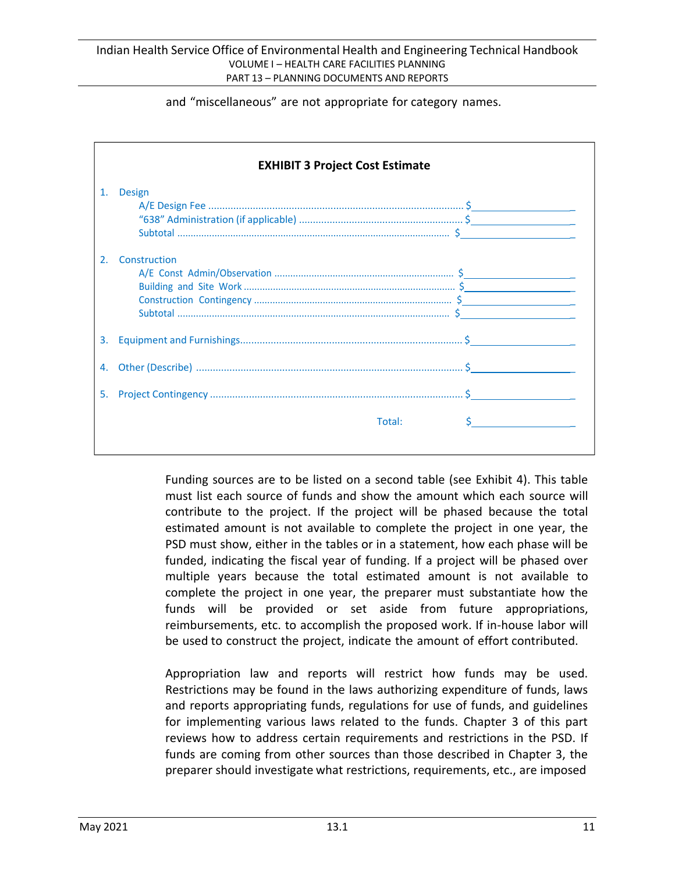and "miscellaneous" are not appropriate for category names.

|                       | <b>EXHIBIT 3 Project Cost Estimate</b> |        |  |
|-----------------------|----------------------------------------|--------|--|
| 1.                    | <b>Design</b>                          |        |  |
| $\mathcal{P}_{\cdot}$ | Construction                           |        |  |
| 3.                    |                                        |        |  |
| 4.                    |                                        |        |  |
| 5.                    |                                        |        |  |
|                       |                                        | Total: |  |

Funding sources are to be listed on a second table (see Exhibit 4). This table must list each source of funds and show the amount which each source will contribute to the project. If the project will be phased because the total estimated amount is not available to complete the project in one year, the PSD must show, either in the tables or in a statement, how each phase will be funded, indicating the fiscal year of funding. If a project will be phased over multiple years because the total estimated amount is not available to complete the project in one year, the preparer must substantiate how the funds will be provided or set aside from future appropriations, reimbursements, etc. to accomplish the proposed work. If in-house labor will be used to construct the project, indicate the amount of effort contributed.

Appropriation law and reports will restrict how funds may be used. Restrictions may be found in the laws authorizing expenditure of funds, laws and reports appropriating funds, regulations for use of funds, and guidelines for implementing various laws related to the funds. Chapter 3 of this part reviews how to address certain requirements and restrictions in the PSD. If funds are coming from other sources than those described in Chapter 3, the preparer should investigate what restrictions, requirements, etc., are imposed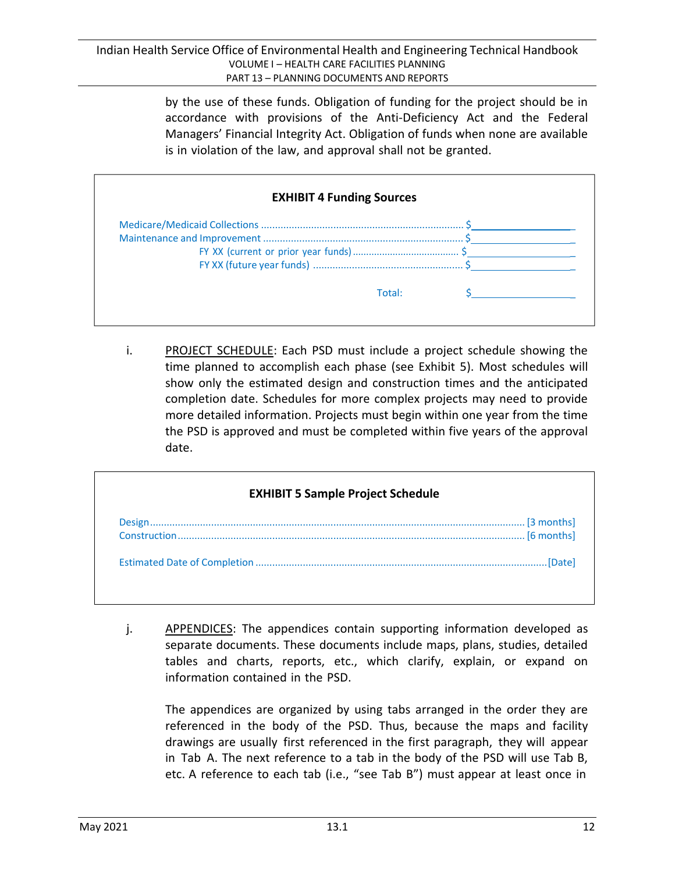by the use of these funds. Obligation of funding for the project should be in accordance with provisions of the Anti-Deficiency Act and the Federal Managers' Financial Integrity Act. Obligation of funds when none are available is in violation of the law, and approval shall not be granted.

| <b>EXHIBIT 4 Funding Sources</b> |  |  |
|----------------------------------|--|--|
|                                  |  |  |
|                                  |  |  |
|                                  |  |  |
|                                  |  |  |
| Total:                           |  |  |

i. PROJECT SCHEDULE: Each PSD must include a project schedule showing the time planned to accomplish each phase (see Exhibit 5). Most schedules will show only the estimated design and construction times and the anticipated completion date. Schedules for more complex projects may need to provide more detailed information. Projects must begin within one year from the time the PSD is approved and must be completed within five years of the approval date.

| <b>EXHIBIT 5 Sample Project Schedule</b> |            |  |
|------------------------------------------|------------|--|
|                                          | [6 months] |  |
|                                          | [Date]     |  |

j. APPENDICES: The appendices contain supporting information developed as separate documents. These documents include maps, plans, studies, detailed tables and charts, reports, etc., which clarify, explain, or expand on information contained in the PSD.

The appendices are organized by using tabs arranged in the order they are referenced in the body of the PSD. Thus, because the maps and facility drawings are usually first referenced in the first paragraph, they will appear in Tab A. The next reference to a tab in the body of the PSD will use Tab B, etc. A reference to each tab (i.e., "see Tab B") must appear at least once in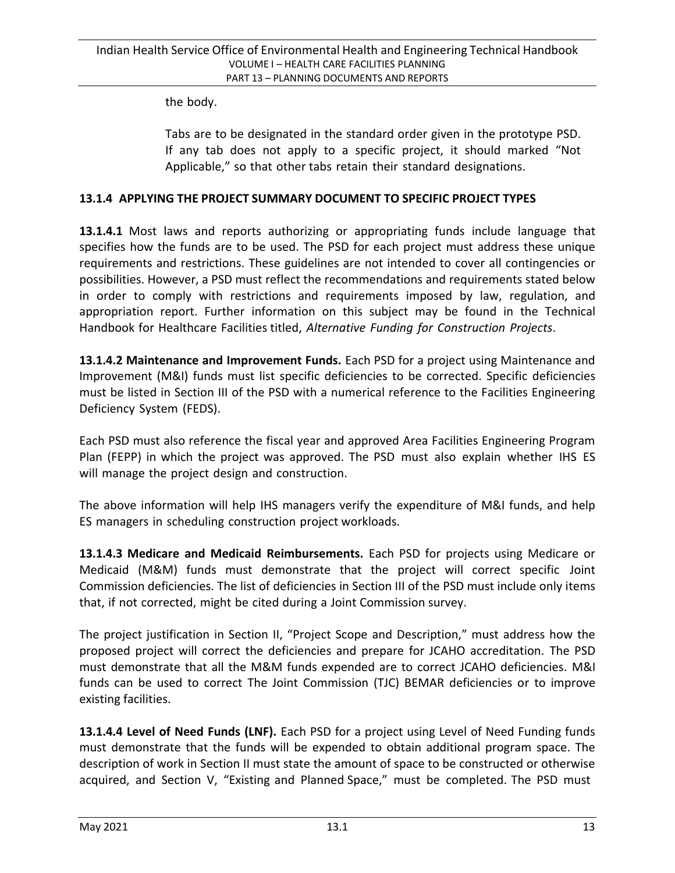the body.

Tabs are to be designated in the standard order given in the prototype PSD. If any tab does not apply to a specific project, it should marked "Not Applicable," so that other tabs retain their standard designations.

#### **13.1.4 APPLYING THE PROJECT SUMMARY DOCUMENT TO SPECIFIC PROJECT TYPES**

**13.1.4.1** Most laws and reports authorizing or appropriating funds include language that specifies how the funds are to be used. The PSD for each project must address these unique requirements and restrictions. These guidelines are not intended to cover all contingencies or possibilities. However, a PSD must reflect the recommendations and requirements stated below in order to comply with restrictions and requirements imposed by law, regulation, and appropriation report. Further information on this subject may be found in the Technical Handbook for Healthcare Facilities titled, *Alternative Funding for Construction Projects*.

**13.1.4.2 Maintenance and Improvement Funds.** Each PSD for a project using Maintenance and Improvement (M&I) funds must list specific deficiencies to be corrected. Specific deficiencies must be listed in Section III of the PSD with a numerical reference to the Facilities Engineering Deficiency System (FEDS).

Each PSD must also reference the fiscal year and approved Area Facilities Engineering Program Plan (FEPP) in which the project was approved. The PSD must also explain whether IHS ES will manage the project design and construction.

The above information will help IHS managers verify the expenditure of M&I funds, and help ES managers in scheduling construction project workloads.

**13.1.4.3 Medicare and Medicaid Reimbursements.** Each PSD for projects using Medicare or Medicaid (M&M) funds must demonstrate that the project will correct specific Joint Commission deficiencies. The list of deficiencies in Section III of the PSD must include only items that, if not corrected, might be cited during a Joint Commission survey.

The project justification in Section II, "Project Scope and Description," must address how the proposed project will correct the deficiencies and prepare for JCAHO accreditation. The PSD must demonstrate that all the M&M funds expended are to correct JCAHO deficiencies. M&I funds can be used to correct The Joint Commission (TJC) BEMAR deficiencies or to improve existing facilities.

**13.1.4.4 Level of Need Funds (LNF).** Each PSD for a project using Level of Need Funding funds must demonstrate that the funds will be expended to obtain additional program space. The description of work in Section II must state the amount of space to be constructed or otherwise acquired, and Section V, "Existing and Planned Space," must be completed. The PSD must